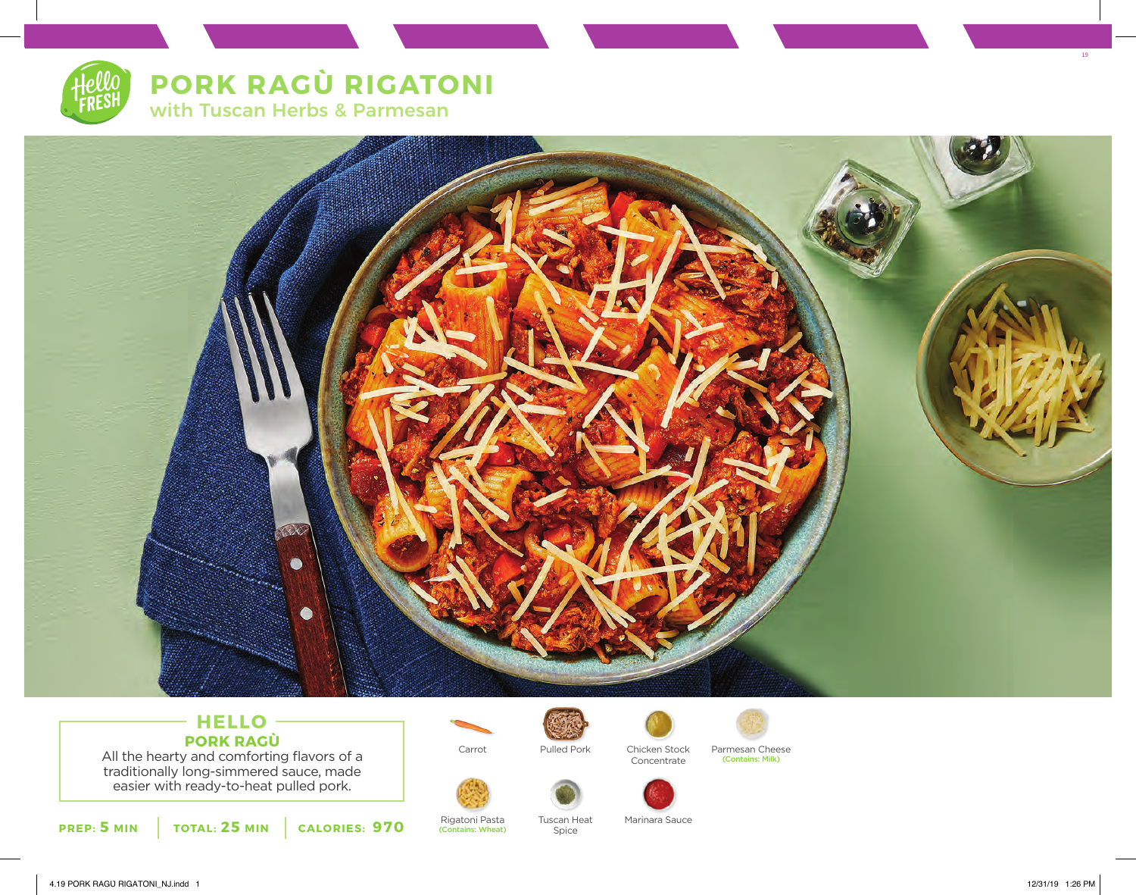



## **HELLO PORK RAGÙ** All the hearty and comforting flavors of a

traditionally long-simmered sauce, made easier with ready-to-heat pulled pork.



Rigatoni Pasta (Contains: Wheat) Pulled Pork

Spice



Chicken Stock Concentrate



Carrot Pulled Pork Chicken Stock Parmesan Cheese<br>Concentrate (Contains: Milk)



Tuscan Heat Marinara Sauce

19